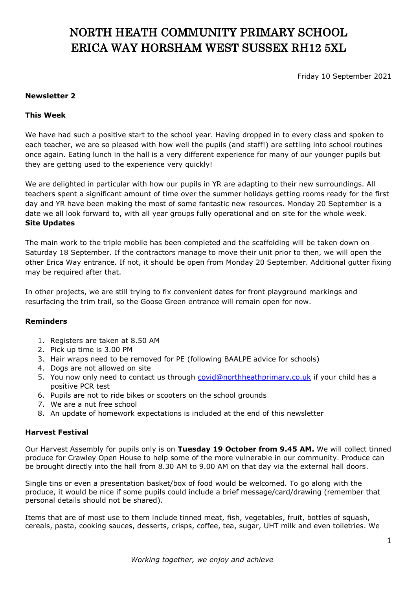# NORTH HEATH COMMUNITY PRIMARY SCHOOL ERICA WAY HORSHAM WEST SUSSEX RH12 5XL

Friday 10 September 2021

#### **Newsletter 2**

## **This Week**

We have had such a positive start to the school year. Having dropped in to every class and spoken to each teacher, we are so pleased with how well the pupils (and staff!) are settling into school routines once again. Eating lunch in the hall is a very different experience for many of our younger pupils but they are getting used to the experience very quickly!

We are delighted in particular with how our pupils in YR are adapting to their new surroundings. All teachers spent a significant amount of time over the summer holidays getting rooms ready for the first day and YR have been making the most of some fantastic new resources. Monday 20 September is a date we all look forward to, with all year groups fully operational and on site for the whole week. **Site Updates**

The main work to the triple mobile has been completed and the scaffolding will be taken down on Saturday 18 September. If the contractors manage to move their unit prior to then, we will open the other Erica Way entrance. If not, it should be open from Monday 20 September. Additional gutter fixing may be required after that.

In other projects, we are still trying to fix convenient dates for front playground markings and resurfacing the trim trail, so the Goose Green entrance will remain open for now.

#### **Reminders**

- 1. Registers are taken at 8.50 AM
- 2. Pick up time is 3.00 PM
- 3. Hair wraps need to be removed for PE (following BAALPE advice for schools)
- 4. Dogs are not allowed on site
- 5. You now only need to contact us through [covid@northheathprimary.co.uk](mailto:covid@northheathprimary.co.uk) if your child has a positive PCR test
- 6. Pupils are not to ride bikes or scooters on the school grounds
- 7. We are a nut free school
- 8. An update of homework expectations is included at the end of this newsletter

#### **Harvest Festival**

Our Harvest Assembly for pupils only is on **Tuesday 19 October from 9.45 AM.** We will collect tinned produce for Crawley Open House to help some of the more vulnerable in our community. Produce can be brought directly into the hall from 8.30 AM to 9.00 AM on that day via the external hall doors.

Single tins or even a presentation basket/box of food would be welcomed. To go along with the produce, it would be nice if some pupils could include a brief message/card/drawing (remember that personal details should not be shared).

Items that are of most use to them include tinned meat, fish, vegetables, fruit, bottles of squash, cereals, pasta, cooking sauces, desserts, crisps, coffee, tea, sugar, UHT milk and even toiletries. We